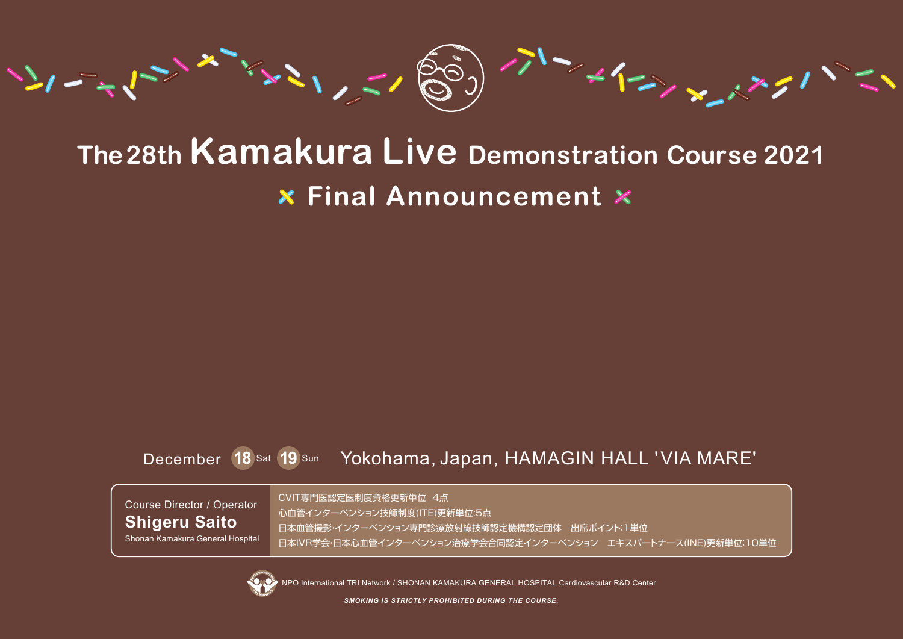

# **The 28th Kamakura Live Demonstration Course 2021 Final Announcement**

#### December **18** Sat **19** Sun Yokohama, Japan, HAMAGIN HALL 'VIA MARE'

Course Director / Operator **Shigeru Saito** Shonan Kamakura General Hospital CVIT専門医認定医制度資格更新単位 4点 心血管インターベンション技師制度(ITE)更新単位:5点 日本血管撮影・インターベンション専門診療放射線技師認定機構認定団体 出席ポイント:1単位 日本IVR学会・日本心血管インターベンション治療学会合同認定インターベンション エキスパートナース(INE)更新単位:10単位



NPO International TRI Network / SHONAN KAMAKURA GENERAL HOSPITAL Cardiovascular R&D Center

*SMOKING IS STRICTLY PROHIBITED DURING THE COURSE.*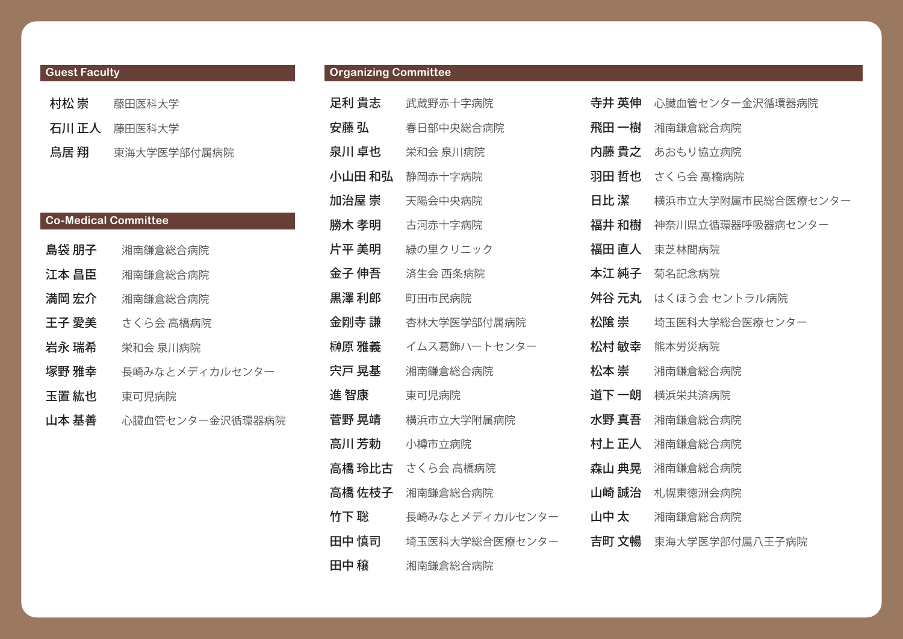| <b>Guest Faculty</b> |              |  |  |  |
|----------------------|--------------|--|--|--|
| 村松 崇                 | 藤田医科大学       |  |  |  |
|                      | 石川 正人 藤田医科大学 |  |  |  |
| 鳥居 翔                 | 東海大学医学部付属病院  |  |  |  |

| <b>Co-Medical Committee</b> |                 |
|-----------------------------|-----------------|
| 島袋 朋子                       | 湘南鎌倉総合病院        |
| 江本 昌臣                       | 湘南鎌倉総合病院        |
| 満岡 宏介                       | 湘南鎌倉総合病院        |
| 王子 愛美                       | さくら会 高橋病院       |
| 岩永 瑞希                       | 栄和会 泉川病院        |
| 塚野 雅幸                       | 長崎みなとメディカルセンター  |
| 玉置 紘也                       | 東可児病院           |
| 山本 基善                       | 心臓血管センター金沢循環器病院 |

#### **Organizing Committee**

| 足利 貴志  | 武蔵野赤十字病院                |
|--------|-------------------------|
| 安藤 弘   | 春日部中央総合病院               |
| 泉川 卓也  | 栄和会 泉川病院                |
| 小山田 和弘 | 静岡赤十字病院                 |
| 加治屋 崇  | 天陽会中央病院                 |
| 勝木 孝明  | 古河赤十字病院                 |
| 片平 美明  | 緑の里クリニック                |
| 金子 伸吾  | 済生会 西条病院                |
| 黒澤 利郎  | 町田市民病院                  |
| 金剛寺 謙  | 杏林大学医学部付属病院             |
| 榊原 雅義  | イムス葛飾ハートセンター            |
| 宍戸 晃基  | 湘南鎌倉総合病院                |
| 進 智康   | 東可児病院                   |
| 菅野 晃靖  | 横浜市立大学附属病院              |
| 高川 芳勅  | 小樽市立病院                  |
|        | <b>高橋 玲比古</b> さくら会 高橋病院 |
| 高橋 佐枝子 | 湘南鎌倉総合病院                |
| 竹下 聡   | 長崎みなとメディカルセンター          |
| 田中 慎司  | 埼玉医科大学総合医療センター          |
| 田中 穣   | 湘南鎌倉総合病院                |

| 寺井 英伸 | 心臓血管センター金沢循環器病院    |
|-------|--------------------|
| 飛田 一樹 | 湘南鎌倉総合病院           |
| 内藤 貴之 | あおもり協立病院           |
| 羽田 哲也 | さくら会 高橋病院          |
| 日比 潔  | 横浜市立大学附属市民総合医療センター |
| 福井 和樹 | 神奈川県立循環器呼吸器病センター   |
| 福田 直人 | 東芝林間病院             |
| 本江 純子 | 菊名記念病院             |
| 舛谷 元丸 | はくほう会 セントラル病院      |
| 松隂 崇  | 埼玉医科大学総合医療センター     |
| 松村 敏幸 | 熊本労災病院             |
| 松本 崇  | 湘南鎌倉総合病院           |
| 道下 一朗 | 横浜栄共済病院            |
| 水野 真吾 | 湘南鎌倉総合病院           |
| 村上 正人 | 湘南鎌倉総合病院           |
| 森山 典晃 | 湘南鎌倉総合病院           |
| 山崎 誠治 | 札幌東徳洲会病院           |
| 山中太   | 湘南鎌倉総合病院           |
| 吉町 文暢 | 東海大学医学部付属八王子病院     |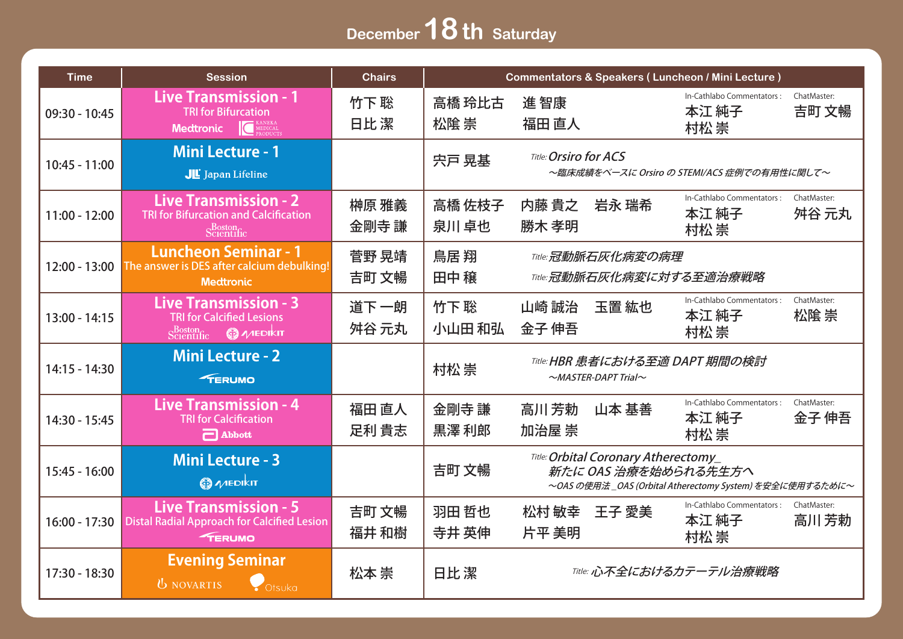## **December 18th Saturday**

| <b>Time</b>     | <b>Session</b>                                                                                                                                                                        | <b>Chairs</b>  | <b>Commentators &amp; Speakers (Luncheon / Mini Lecture)</b>                                                                     |                                                                            |                                                                    |  |  |  |
|-----------------|---------------------------------------------------------------------------------------------------------------------------------------------------------------------------------------|----------------|----------------------------------------------------------------------------------------------------------------------------------|----------------------------------------------------------------------------|--------------------------------------------------------------------|--|--|--|
| 09:30 - 10:45   | <b>Live Transmission - 1</b><br><b>TRI for Bifurcation</b><br><b>CONEDICAL</b><br><b>Medtronic</b>                                                                                    | 竹下聡<br>日比潔     | 高橋 玲比古<br>松隂崇                                                                                                                    | 進智康<br>福田 直人                                                               | In-Cathlabo Commentators:<br>ChatMaster:<br>吉町 文暢<br>本江 純子<br>村松崇  |  |  |  |
| 10:45 - 11:00   | <b>Mini Lecture - 1</b><br>JE Japan Lifeline                                                                                                                                          |                | 宍戸 晃基                                                                                                                            | <b>Title: Orsiro for ACS</b><br>~臨床成績をベースに Orsiro の STEMI/ACS 症例での有用性に関して~ |                                                                    |  |  |  |
| $11:00 - 12:00$ | <b>Live Transmission - 2</b><br><b>TRI for Bifurcation and Calcification</b><br>Scientific                                                                                            | 榊原 雅義<br>金剛寺 謙 | 高橋 佐枝子<br>泉川卓也                                                                                                                   | 内藤 貴之<br>岩永 瑞希<br>勝木 孝明                                                    | In-Cathlabo Commentators:<br>ChatMaster:<br>本江 純子<br>舛谷 元丸<br>村松崇  |  |  |  |
| $12:00 - 13:00$ | <b>Luncheon Seminar - 1</b><br>The answer is DES after calcium debulking!<br><b>Medtronic</b>                                                                                         | 菅野 晃靖<br>吉町 文暢 | 鳥居翔<br>田中穣                                                                                                                       | Title: 冠動脈石灰化病変の病理<br>Title: 冠動脈石灰化病変に対する至適治療戦略                            |                                                                    |  |  |  |
| $13:00 - 14:15$ | <b>Live Transmission - 3</b><br><b>TRI for Calcified Lesions</b><br>$\text{S}_{\text{C}(\text{entific})}^{\text{Boston}}$ $\textcircled{\#}$ $\text{M}$ $\text{E}(\text{D} \text{k})$ | 道下一朗<br>舛谷 元丸  | 竹下聡<br>小山田 和弘                                                                                                                    | 玉置紘也<br>山崎 誠治<br>金子 伸吾                                                     | In-Cathlabo Commentators:<br>ChatMaster:<br>本江 純子<br>松隂 崇<br>村松 崇  |  |  |  |
| $14:15 - 14:30$ | <b>Mini Lecture - 2</b><br><b>FERUMO</b>                                                                                                                                              |                | 村松崇                                                                                                                              | Title: HBR 患者における至適 DAPT 期間の検討<br>$\sim$ MASTER-DAPT Trial $\sim$          |                                                                    |  |  |  |
| 14:30 - 15:45   | <b>Live Transmission - 4</b><br><b>TRI for Calcification</b><br>$\Box$ Abbott                                                                                                         | 福田 直人<br>足利 貴志 | 金剛寺 謙<br>黒澤 利郎                                                                                                                   | 高川芳勅<br>山本 基善<br>加治屋 崇                                                     | In-Cathlabo Commentators:<br>ChatMaster:<br>本江 純子<br>金子 伸吾<br>村松 崇 |  |  |  |
| $15:45 - 16:00$ | <b>Mini Lecture - 3</b><br><b>@</b> MEDIKIT                                                                                                                                           |                | Title: Orbital Coronary Atherectomy_<br>吉町 文暢<br>新たに OAS 治療を始められる先生方へ<br>~OAS の使用法_OAS (Orbital Atherectomy System) を安全に使用するために~ |                                                                            |                                                                    |  |  |  |
| $16:00 - 17:30$ | <b>Live Transmission - 5</b><br><b>Distal Radial Approach for Calcified Lesion</b><br><b>FERUMO</b>                                                                                   | 吉町 文暢<br>福井 和樹 | 羽田 哲也<br>寺井 英伸                                                                                                                   | 松村 敏幸<br>王子 愛美<br>片平 美明                                                    | In-Cathlabo Commentators:<br>ChatMaster:<br>本江 純子<br>高川芳勅<br>村松 崇  |  |  |  |
| 17:30 - 18:30   | <b>Evening Seminar</b><br><b>U</b> NOVARTIS<br>Otsuka                                                                                                                                 | 松本崇            | 日比潔                                                                                                                              |                                                                            | Title: 心不全におけるカテーテル治療戦略                                            |  |  |  |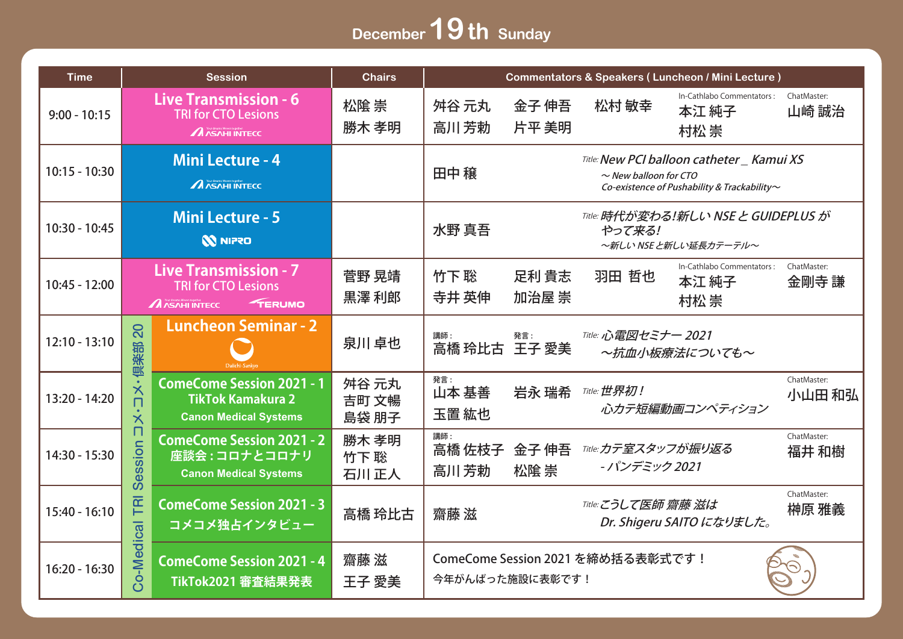## December **19th** Sunday

| <b>Time</b>     |                                                       | <b>Session</b>                                                                                       | <b>Chairs</b>           | <b>Commentators &amp; Speakers (Luncheon / Mini Lecture)</b>                                                                          |                                                                               |                                     |                                            |                       |
|-----------------|-------------------------------------------------------|------------------------------------------------------------------------------------------------------|-------------------------|---------------------------------------------------------------------------------------------------------------------------------------|-------------------------------------------------------------------------------|-------------------------------------|--------------------------------------------|-----------------------|
| $9:00 - 10:15$  |                                                       | <b>Live Transmission - 6</b><br><b>TRI for CTO Lesions</b><br><b>A</b> ASAHI INTECC                  | 松隂 崇<br>勝木 孝明           | 舛谷 元丸<br>高川芳勅                                                                                                                         | 金子 伸吾<br>片平 美明                                                                | 松村 敏幸                               | In-Cathlabo Commentators:<br>本江 純子<br>村松 崇 | ChatMaster:<br>山崎 誠治  |
| $10:15 - 10:30$ |                                                       | <b>Mini Lecture - 4</b><br><b>A</b> ASAHI INTECC                                                     |                         | Title: New PCI balloon catheter _ Kamui XS<br>田中 穣<br>$\sim$ New balloon for CTO<br>Co-existence of Pushability & Trackability $\sim$ |                                                                               |                                     |                                            |                       |
| 10:30 - 10:45   | <b>Mini Lecture - 5</b><br><b>NNIPRO</b>              |                                                                                                      |                         | 水野 真吾                                                                                                                                 | <b>Title: 時代が変わる!新しい NSE と GUIDEPLUS が</b><br>やって来る!<br>~新しい NSE と新しい延長カテーテル~ |                                     |                                            |                       |
| $10:45 - 12:00$ |                                                       | <b>Live Transmission - 7</b><br><b>TRI for CTO Lesions</b><br><b>A</b> ASAHI INTECC<br><b>TERUMO</b> | 菅野 晃靖<br>黒澤利郎           | 竹下聡<br>寺井 英伸                                                                                                                          | 足利 貴志<br>加治屋 崇                                                                | 羽田 哲也                               | In-Cathlabo Commentators:<br>本江 純子<br>村松 崇 | ChatMaster:<br>金剛寺 謙  |
| $12:10 - 13:10$ | 20<br>倶楽部                                             | <b>Luncheon Seminar - 2</b>                                                                          | 泉川卓也                    | 講師:<br>高橋 玲比古 王子 愛美                                                                                                                   | 発言:                                                                           | Title: 心電図セミナー 2021                 | ~抗血小板療法についても~                              |                       |
| $13:20 - 14:20$ | $\boldsymbol{\times}$<br>п<br>$\overline{\mathsf{X}}$ | <b>ComeCome Session 2021 - 1</b><br><b>TikTok Kamakura 2</b><br><b>Canon Medical Systems</b>         | 舛谷 元丸<br>吉町 文暢<br>島袋 朋子 | 発言:<br>山本 基善<br>玉置 紘也                                                                                                                 | 岩永 瑞希                                                                         | <b>Title: 世界初!</b>                  | 心カテ短編動画コンペティション                            | ChatMaster:<br>小山田 和弘 |
| $14:30 - 15:30$ | п<br>Session                                          | <b>ComeCome Session 2021 - 2</b><br>座談会:コロナとコロナリ<br><b>Canon Medical Systems</b>                     | 勝木 孝明<br>竹下聡<br>石川正人    | 講師:<br>高橋 佐枝子 金子伸吾<br>高川芳勅                                                                                                            | 松隂崇                                                                           | Title:カテ室スタッフが振り返る<br>- パンデミック 2021 |                                            | ChatMaster:<br>福井 和樹  |
| $15:40 - 16:10$ | TRI                                                   | <b>ComeCome Session 2021 - 3</b><br>コメコメ独占インタビュー                                                     | 高橋 玲比古                  | 齋藤滋                                                                                                                                   |                                                                               | Title: こうして医師 齋藤 滋は                 | Dr. Shigeru SAITO になりました。                  | ChatMaster:<br>榊原 雅義  |
| $16:20 - 16:30$ | o-Medical                                             | <b>ComeCome Session 2021 - 4</b><br>TikTok2021 審査結果発表                                                | 齋藤 滋<br>王子 愛美           | 今年がんばった施設に表彰です!                                                                                                                       |                                                                               | ComeCome Session 2021 を締め括る表彰式です!   |                                            |                       |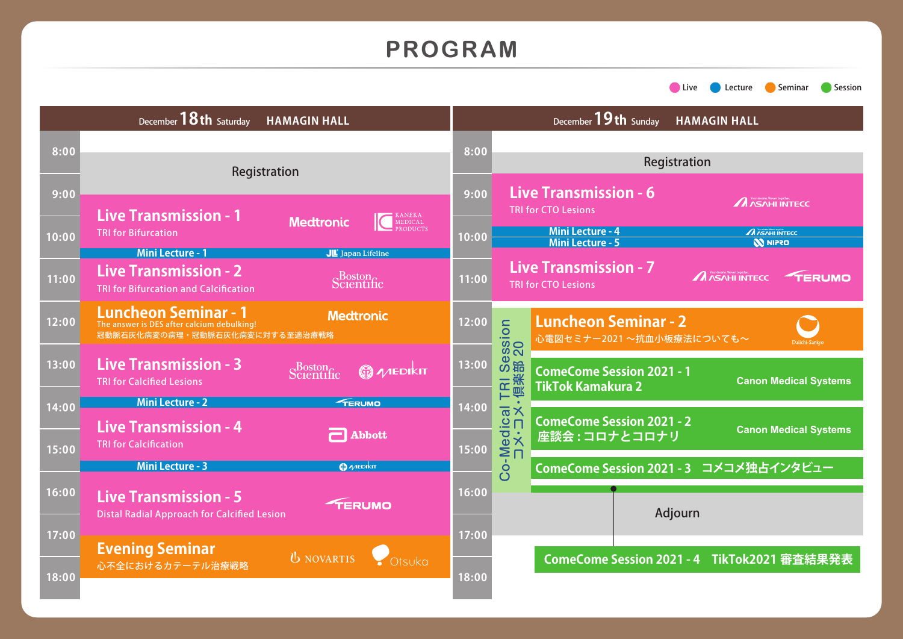### **PROGRAM**

**Evening Seminar**

**8:00**

**9:00**

**10:00**

**11:00**

**12:00**

**13:00**

**14:00**

**15:00**

**16:00**

**17:00**

**18:00**

心不全におけるカテーテル治療戦略

Distal Radial Approach for Calcified Lesion

December**18th** Saturday **HAMAGIN HALL** December**19th** Sunday **HAMAGIN HALL8:00** Registration Registration Registration Registration **Live Transmission - 6 9:00 A** ASAHI INTECC TRI for CTO Lesions **Live Transmission - 1** KANEKA MEDICAL **Medtronic** TRI for Bifurcation **A** ASAHI INTECC **Mini Lecture - 4 10:00 N NIPRO Mini Lecture - 5 Mini Lecture - 1** JL Japan Lifeline **Live Transmission - 7 Live Transmission - 2** Scientific **A** ASAHI INTECC TERUMO **11:00** TRI for CTO Lesions TRI for Bifurcation and Calcification **Luncheon Seminar - 1 Medtronic** TRI Session<br>·倶楽部 20 **Luncheon Seminar - 2 12:00** The answer is DES after calcium debulking! Co-Medical TRI Session 冠動脈石灰化病変の病理・冠動脈石灰化病変に対する至適治療戦略 心電図セミナー2021 ~抗血小板療法についても~ コメ・コメ・倶楽部 20 **Live Transmission - 3 13:00** Scientific **O A ALE DIKIT ComeCome Session 2021 - 1** TRI for Calcified Lesions **Canon Medical Systems TikTok Kamakura 2 Mini Lecture - 2** TERUMO Co-Medical<br>
- X-コメ・コメ・ **14:00 ComeCome Session 2021 - 2 Live Transmission - 4 Canon Medical Systems Abbott 座談会 : コロナとコロナリ** TRI for Calcification **15:00 Mini Lecture - 3 @** MEDIKIT **ComeCome Session 2021 - 3 コメコメ独占インタビュー 16:00 Live Transmission - 5**

**17:00**

**TERUMO** 

UNOVARTIS Otsuka

**18:00**

Adjourn

**ComeCome Session 2021 - 4 TikTok2021 審査結果発表**

**Calculate Construction** Session